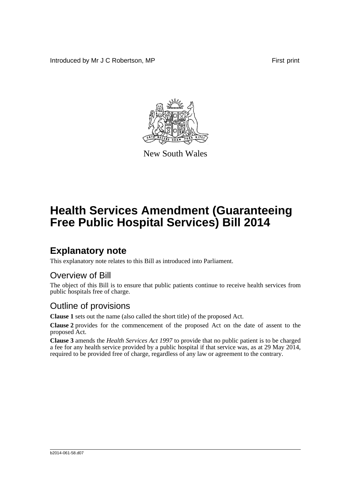Introduced by Mr J C Robertson, MP First print



New South Wales

# **Health Services Amendment (Guaranteeing Free Public Hospital Services) Bill 2014**

## **Explanatory note**

This explanatory note relates to this Bill as introduced into Parliament.

#### Overview of Bill

The object of this Bill is to ensure that public patients continue to receive health services from public hospitals free of charge.

#### Outline of provisions

**Clause 1** sets out the name (also called the short title) of the proposed Act.

**Clause 2** provides for the commencement of the proposed Act on the date of assent to the proposed Act.

**Clause 3** amends the *Health Services Act 1997* to provide that no public patient is to be charged a fee for any health service provided by a public hospital if that service was, as at 29 May 2014, required to be provided free of charge, regardless of any law or agreement to the contrary.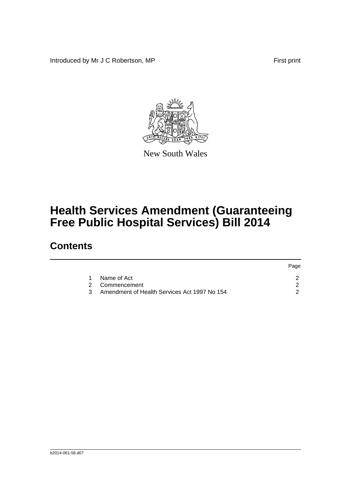Introduced by Mr J C Robertson, MP First print

Page



New South Wales

# **Health Services Amendment (Guaranteeing Free Public Hospital Services) Bill 2014**

### **Contents**

|   |                                              | <b>rage</b> |
|---|----------------------------------------------|-------------|
|   | Name of Act                                  |             |
|   | 2 Commencement                               |             |
| 3 | Amendment of Health Services Act 1997 No 154 |             |
|   |                                              |             |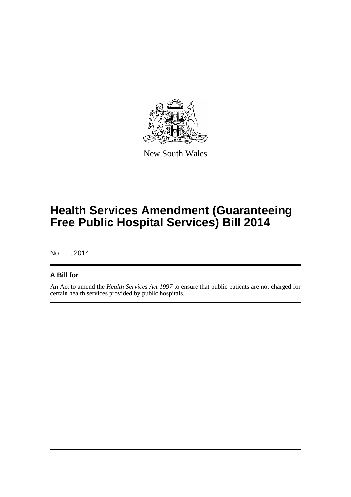

New South Wales

# **Health Services Amendment (Guaranteeing Free Public Hospital Services) Bill 2014**

No , 2014

#### **A Bill for**

An Act to amend the *Health Services Act 1997* to ensure that public patients are not charged for certain health services provided by public hospitals.